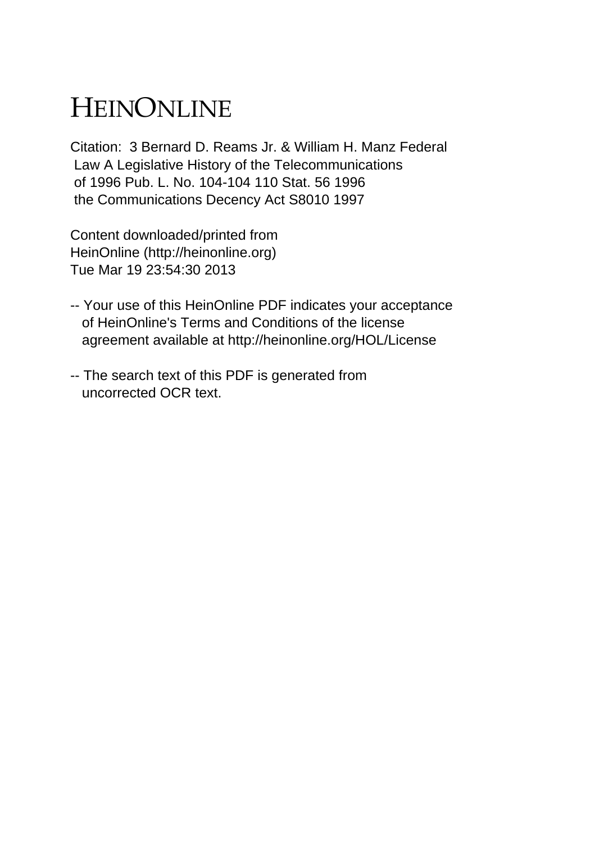## HEINONLINE

Citation: 3 Bernard D. Reams Jr. & William H. Manz Federal Law A Legislative History of the Telecommunications of 1996 Pub. L. No. 104-104 110 Stat. 56 1996 the Communications Decency Act S8010 1997

Content downloaded/printed from HeinOnline (http://heinonline.org) Tue Mar 19 23:54:30 2013

- -- Your use of this HeinOnline PDF indicates your acceptance of HeinOnline's Terms and Conditions of the license agreement available at http://heinonline.org/HOL/License
- -- The search text of this PDF is generated from uncorrected OCR text.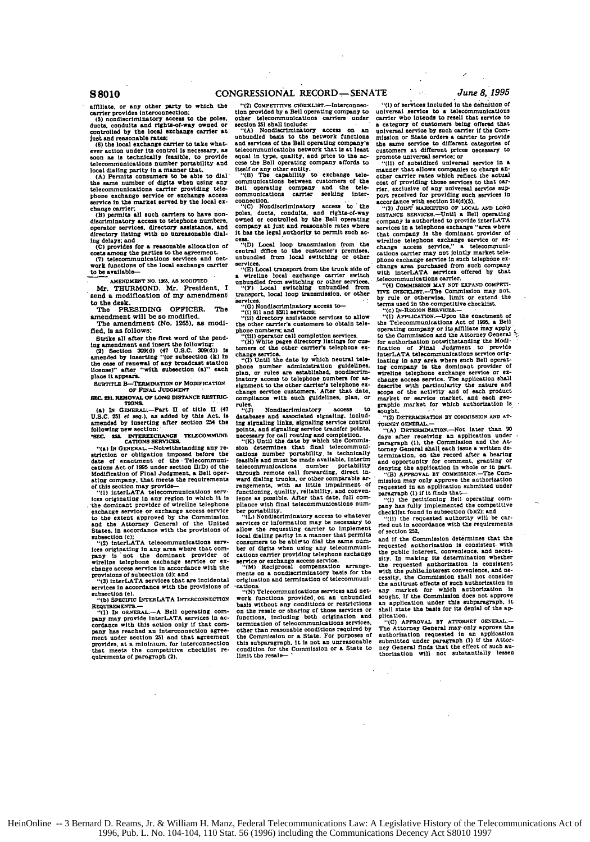affiliate, or any other party to which the<br>carrier provides interconnection:<br>(5) nondiscriminatory access to the poles,<br>ducts, condults and rights-of-way owned or<br>controlled by the local schange carrier at<br>lust and reasona

ever action under its control is necessary, as<br>soon as is technically feasible, to provide<br>telecommunications number portability and

local dialing parity in a manner that.<br>
(A) Permits consumers to be able to dial<br>
the same number of digits when using any<br>
telecommunications carrier providing tele-<br>
phone exchange service or exchange access<br>
service in

change carrier' **(B)** permits **all** such carriers to have nondiscriminatory access to telephone numbers,. operator services, directory assistance, **and** directory listing with **no** unreasonable dial-

ing delays; and<br>
(C) provides for a reasonable allocation of<br>
(C) provides for a reasonable allocation of<br>
(7) telecommunications services and net-<br>
work functions of the local exchange carrier to be available-

**AMENDMENT NO. 1265, AS MODIFIED** 

**Mr.** THURMOND. Mr. President. **<sup>I</sup>** send a modiflcation of my amendment to the desk.

**The PRESIDING** OFFICER. amendment will be so modified. The amendment **(No. 1265). as** modi-

fied, Is as follows:

Strike all after the first word of the pending amendment and insert the following:<br>(2) Section 309(d) (47 U.S.C. 309(d)) is<br>amended by inserting "for subsection (k) in<br>amended by inserting "for subsection (k) in<br>the case place it appears.

**SurrITLE** B-TRMINATON **OF** MODIFICATION **OF FINAL JUDGMENT'r**

**SEC. 211. REMOVAL OF LONG DISTANCE RESTRIC-**<br>TIONS

TOWER TOWER (a) IN GENERAL:-Part II of title II (47<br>U.S.C. 251 et seq.), as added by this Act, is<br>amended by tinering after section 254 the<br>innended by inserting after section 254 the<br>following new section:<br>SEC. 255. INTER

**"(a) IN** GENERAL-Notwithstanding **any** re-striction or obligation imposed before the date of enactment of the Telecommuni-**cations** Act **of 1995** under section **II(D) of** the Modification of Final Judgment. **a** Bell oper-ating **company,** that meets the requirements of this section may provide- **"(I)** interLATA telecommunications **serv-**

ices originating in any region in which it is<br>the dominant provider of wireline telephone<br>exchange service or exchange access service<br>to the extent approved by the Commission<br>and the Attorney General of the United<br>States,

the anti-mate in any area where that com-<br>hanger is not the dominant provider of<br>the stephone exchange service or ex-<br>hange access service in accordance with the<br>provisions of subsection (d); and<br>"(3) interLATA services th

subsection (e).

**"(b)** SpEcIFIc LNTERLATA INrERCONNECTION REQUIREMENTS.-<br>"(1) IN GENERAL.--A Bell operating com-

pany may provide interLATA services in accordance with this action only if that company has reached an interconnection agreement under section 251 and that agreement under section 251 and that meets the competitive checkli

"(2) COMPETITIVE CHECKLIST.-Interconnec-

tion provided by a Bell operating company to<br>their telecommunications carriers under<br>exciton 251 shall include:<br>"(A) Nondiscriminatory access on an<br>unbundled basis to the neuvork functions<br>and services of the Bell operatin

equal in type, quality, and price to the ac-<br>ress the Bell operating company affords to<br>the life of any other entity.<br>The capability to exchange tele-<br>communications between customers of the<br>Bell operating company and the connection.<br>"(C) Not

**"(C)** Nondiscriminatory access **to the** poles, ducts, conduits, **and** rights-of-way owned or controlled **by** the Bell operating company at **just** and reasonable rates where it **has** the legal authority to permit such **ac-**

**cess. -\*(D)** Local **loop** transonission from the central dfflce to the customer's premises, unbundied from local switching or other

unded *n* come and the trunk side of<br>des.<br>"There earder switch"

**a** wireline local exchange carrier switch unbundied from switching or other services. "(F) Local switching unbundled from transport, local **loop** transnission, or other

**Services.**<br>"(G) Nondiscriminatory access to-<br>"(ii) 911 and E911 services;<br>"the other carrier's customers to obtain tele-<br>the other carrier's customers to obtain tele-

mone numbers, and completion acrytics.<br>
"(ii) operator call completion acrytics.<br>
"(ii) while page directory listings for customers of the other carrier's telephone ex-<br>
change service.<br>
"(i) while hate by which neutral te

rules.<br>
The signaling initial<br>
interpret access to<br>
databases and associated signaling, includ-<br>
ing signaling initial, signaling service transfer points,<br>
and signaling service transfer points,<br>
necessary for call routing

er portability, "Commission and the method of the control of the control and the control and the control and the control of the control of control and the control of control of control of control of control of control of c

service or exchange access service. **"(M)** Reciprocal compensation arrange-ments on a nondiscriminatory basis for the origination and termination of telecomsnuni- 'nations. **"(N)** Telecommunications services and net-

work functions provided, on an unbundled **basis** without any conditions or restrictions on the resale or sharing **of** those services or on the resale or sharing of under services of<br>functions, including both origination and<br>ther than reasonable conditions required by<br>the Commission or a State. For purposes of<br>this subparagraph, it is not an unreasonable<br>th

**"(1)** of services included **in** the definition **of** universal **service** to **a** telecommunications carrier who intends to resell that service to **a** category of customers being offered that universal service **by** such carrier **if** the Com-mission or State orders a carrier to provide the same service to different categories **of** customers at different prices necessary to promote universal service: or

promoto universal service in a manner that allows companies to charge an-<br>other carrier rates which reflect the actual<br>cost of providing those services to that car-<br>rier, exclusive of any universal services to that car-<br>r

DISTANCE ERvliCEs-Until **a** Bell operating company **is** authorized to provide interLATA services in **a** telephone exchange **"'area** where that company is the dominant provider of that compares are change series or ex-<br>change series or ex-<br>cations cares service, a telecommunity<br>cations carrier may not jointly market tele-<br>phone exchange service in such compares<br>change area purchased from such compan

 $(1)$  COMMISSION MAT NOT EXPAND COMPETITIVE CHECALER.<br>TITS CRECILERT-TTE COmmission may not previous check the terms used in the competitive check<br>is the competitive check is  $(1)$  in REGION EXPANDS.<br> $(1)$  in REGIONNES RE for automorphenon notwinstance as a constrained in the first final interfactor of Pinal Judgment to provide<br>insting in any area where each period of the final interfact of the<br>insting in any area where such a period of the

**BOUGHE.**<br>"(2) DETERMINATION BY COMMISSION AND AT-TORNET GENERAL.--<br>
"(A) DETERAL.--

**days** after receiving an application under paragraph **(1).** the Commission **and** the **At-**torcey General shall each issue a written de-termination, on the record after **a** hearing and opportunity for comment, granting or **denying** the application In whole or **in** fart. "(B) APPROVAL **BY COMMISSION.-The CoM-**mission **may** only approve the authorization requested in **an** application submitted under paragraph **(1) If** it **finds** that-- "(i) the petitioning Bell operating com-pany has fully Implemented the competitive checklist found in subsection **(b)(2);** and **"(II)** the requested authority will be **car-**

ried **out in** accordance with the requirements of saction 252.

or section and if the Commission determines that the<br>requested authorization is consistent with<br>the public interest, convenience, and neces-<br>sity. In making its determination whether<br>the requested authorization is consiste

pitcation.<br>
"CC) APPROVAL BY ATTORNET GENERAL.—<br>
The Attorney General may only approve the<br>
authorization requested in an application<br>
submitted under paragraph (i) if the Attor-<br>
ney General finds that the effect of such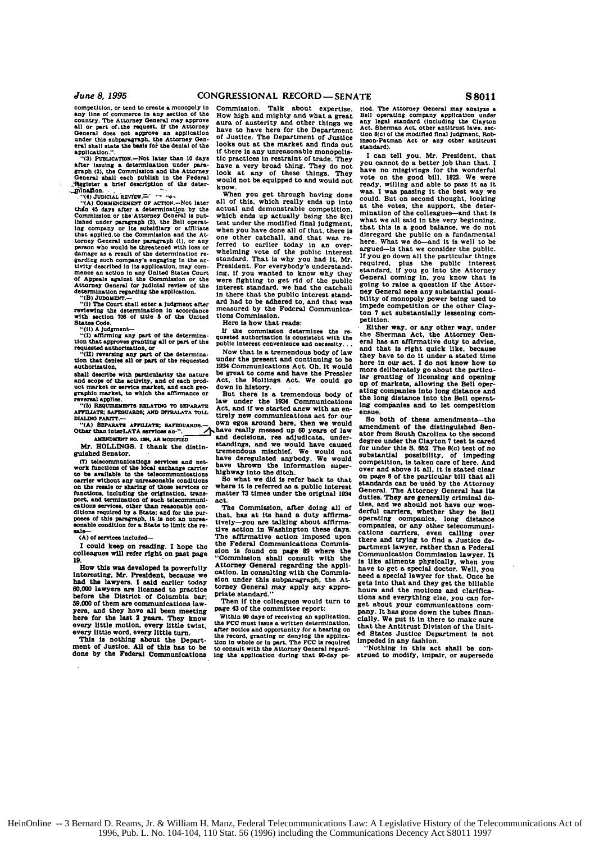eral shall subparagraph, the Attorney General shall state the basis for the denial of the application.".

.lster **a** brief description **of** the deter- know.

... Appears against and Commutation regarding the application.<br>
"(B) Judoslaviv...<br>
"(B) Judoslaviv...<br>
"(I) The Court shall enter a judgment after

shall describe with particularity the nature be great to come and have the Pressler<br>and scope of the activity, and of each prod- Act, the Hollings Act. We could go<br>uct market or service market, and each geo- down in histor

OTHER THAN INTERLATA SERVICES **AND INTERLATA TO DIALINO PARITY.**<br>
"(A) SEPARATE AFFILIATE; SAFEGUARDS<br>
Other than interLATA services an<sup>-11</sup>.<br> **ANENDMENT NO. 1364, AS MODIFIED** 

(7) telecommunications services and net-<br>work functions of the local exchange carrier, have thrown the information supercontractions of the local excitence and nether have denged arrives and nether the telecommunications of the boat of the telecommunications highway into the ditch.<br>
communications the discommunications highway into the ditc ou and isosial of state in the original of the original and the original 1834<br>cations, including the origination, trans- matter 73 times under the original 1834<br>cations services, other than reasonable con-<br>cations required

I could keep on reading. I hope the colleagues will refer right on past page

had the lawyers. **I said** earlier **today** sion under this subparagraph, the At-60,000 lawyers are licensed to practice torney General may apply any appro-<br>before the District of Columbia bar; **priate standard."**<br>form of them are communications law. Then if the colleagues would turn to 59,000 of them are communications law-<br> **19.000 of them are communications law-** Then if the committee report:<br> **19.000 of them are communications law-** page 43 of the committee report: yers, and they have all been meeting here for the last 2 years. They know bers for the last 2 years. They know within 90 days of receiving an application,<br>every little motion, every little twist, the FCC must issue a written determination,<br>every little word, every little turn.

competition, or tend to create a monopoly in Commission. Talk about expertise.<br>any line of commerce in any section of the How high and mightly and what a great<br>country. The Attorney General may approve aura of austerity an application.". It is a product the control of the state when the control of the control of the control of the control of the control of the control of the control of the control of the control of the control of the control stor issuing a determination under para-have surely broad thing. They do not<br>after issuing a determination under para-have a very broad thing. They do not<br>after issuing a determination and the Attorney look at any of these

ILESION.<br>"(4) JUDICIAL REVIEW.<sup>--</sup> - *- When you get through having done*<br>"(A) COMMENCEMENT OF ACTION.-- Not later all of this, which really ends up into all of this, which really ends up into actual and demonstrable competition. thiln **45 days** after **a** determination **by** the actual and demonstrable competition, Commission or the'Attorney General **is pub-** which ends up actually being the **8(c)** lished under paragraph **(3). the** Bell operat- test under the modified final judgment. ing company or **its** subsidiary or affiliate when you have done all of that, there is that applied.to the Commission **and** the At- one other catchall, and that was re- torney General under paragraph **(1).** or any ferred to earlier today in an over- person who would **be** threatened with **los** or **<sup>r</sup>** damage **as a** result of the determination re- **whelming** vote of the public interest aning such company's engaging in the ac-<br>standard. That is why you had it, Mr.<br>tivity described in the splitcation, may com-<br>Fresident. For everybody's understandant the mence an action in any United States Court<br>ing. if y ard had to be adhered to, and that was measured by the Federal Communicareviewing the determination in accordance measured **by** the Federal Conmunica-with section **706** of utile **5 of** the United tions Commission.

States Code.<br>
"Here is how that reads:<br>
"(ii) Alugment—<br>
"(i) alugment—<br>
"(i) alugment—<br>
"(i) alugment—<br>
"(i) alugment—<br>
"(ii) are to the determina-<br>
"(iii) reversing any part of the determina-<br>
requested authorization, o

own egos around here, then we would<br>have really messed up 60 years of law **MKREMERT NO. 1994, AS MODIFIED** and decisions, res adjudicata, under-<br>Mr. HOLLINGS. I thank the distin-standings, and we would have caused **Mr. HOLLINGS. I thank the distin-** standings, and we would have caused **guished Senator**.

oses of this paragraph, it is not an unrea-<br>**boat** of this paragraph, it is not an **unrealized action** in Washington these days.<br>(A) of services included— **The affirmative action imposed upon** The affirmative action imposed upon<br>the Federal Communications Commis-Colleagues will refer right on past page sion is found on page 89 where the<br>19.<br>How this was developed is powerfully that the theorem is the split-<br>District the powerfully determined in the commis-<br>interesting. Mr. Preside **60,000 miles of the comparagraph**, the Attorney General may apply any appro-<br>priate standard."

This is nothing about the Depart-those in whole or in part. The FCC is required<br>ment of Justice. All of this has to be coornsult with the Attorney General regard-<br>done by the Federal Communications ing the application duri

**rind.** The Attorney General may analyze a **Bell** operating company application under any legal standard (including the Clayton Act. Sherman Act. other antitrust laws. **aectLion 8(c) of** the **modified final** Judgment, Robtman Act or any other antitrust standard).

I can tell you. Mr. President, that you cannot do a better job than that. **<sup>I</sup>** have no misgivings for the wonderful vote on the good **bill. 1822.** We were ready, willing and able to **pass** It as it was. **I** was passing it the bent way we could. But on second thought, looking at the votes, the support, the deter-<br>mination of the colleagues-and that is mination of the colleagueswhat we all **said** In the very beginning, that **this is** a good balance, we do not disregard the public on a fundamental here. What we do-and it **In** well to be argued-Is that we consider the public. **If** you go down **all** the particular things required, plus the public interest standard, **If** you go Into the Attorney General coming in. you know that **is** going to raise a **question if** the Attorney General sees any substantial possibility of monopoly power being used to impede competition or the other Clayton **7** act substantially lessening competition.

Either way. or **any** other way, under the Sherman Act, the Attorney General has an affirmative duty to advise. and that Is right quick like, because they have to do It under a stated time here in otr **act. I** do not know how to more deliberately go about the partIcu-**lar** granting **of** licensing **and** opening **up** of markets, allowing the Bell oper-ating companies into long distance and the long distance Into the Bell operat-Ing companies and to let competition ensue.

So both of these amendments-the amendment **of** the distinguished Senator from South Carolina to the second degree under the Clayton **7** test **In** cared for under this **S. 652.** The 8(c) test of no substantial possibility, of impeding competition, Is taken care of here. And over and above It **all,** It is stated clear on page **8** of the particular bill that **all** standards can be used **by** the Attorney General. The Attorney General has its duties. **They are** generally criminal duties, and we should not have **our** woncarriers, whether they be Bell operating companies, long distance companies. or any other telecommunications carriers, even calling over there and trying to find a Justice department lawyer, rather than a Federal Communication Commission lawyer. It **is** like ailments physically, when you have to get a special doctor. Well. you need a special lawyer for that. Once he gets into that and they get the billable hours and the motions and clarifications and everything else. you can forget about your communications comany. It has gone down the tubes financially. We put it in there to make sure that the Antitrust Division of the Unit-

ed States Justice Department is not impeded in any fashion. "Nothing in this act shall be con-strued to modify, impsar, or supersede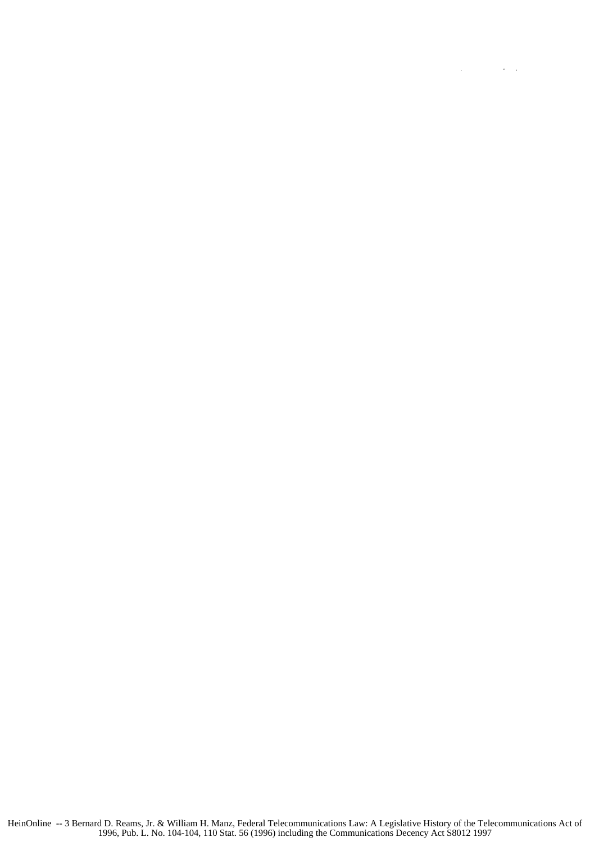HeinOnline -- 3 Bernard D. Reams, Jr. & William H. Manz, Federal Telecommunications Law: A Legislative History of the Telecommunications Act of 1996, Pub. L. No. 104-104, 110 Stat. 56 (1996) including the Communications Decency Act S8012 1997

 $\alpha$  .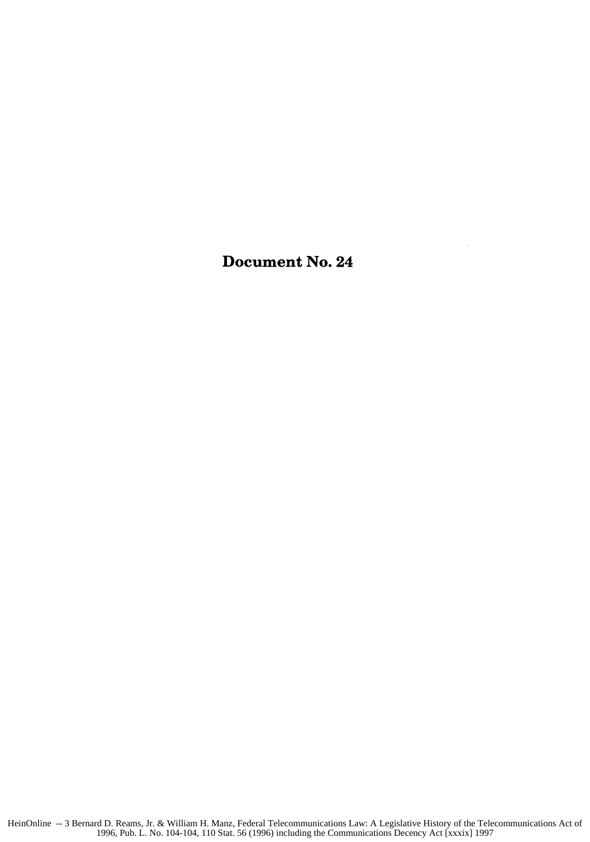## Document No. 24